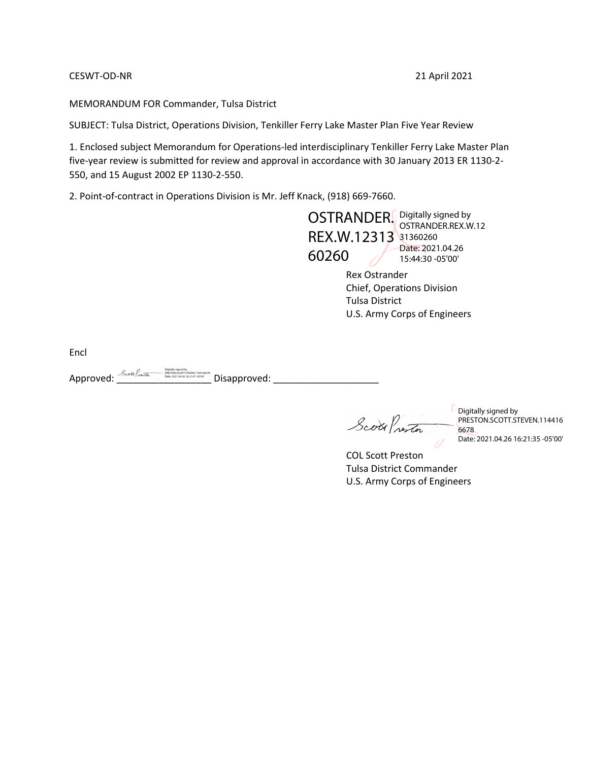## CESWT-OD-NR 21 April 2021

MEMORANDUM FOR Commander, Tulsa District

SUBJECT: Tulsa District, Operations Division, Tenkiller Ferry Lake Master Plan Five Year Review

1. Enclosed subject Memorandum for Operations-led interdisciplinary Tenkiller Ferry Lake Master Plan five-year review is submitted for review and approval in accordance with 30 January 2013 ER 1130-2- 550, and 15 August 2002 EP 1130-2-550.

2. Point-of-contract in Operations Division is Mr. Jeff Knack, (918) 669-7660.

OSTRANDER. Digitally signed by REX.W.12313 31360260 60260 OSTRANDER.REX.W.12 Date: 2021.04.26 15:44:30 -05'00'

Rex Ostrander Chief, Operations Division Tulsa District U.S. Army Corps of Engineers

Encl

Approved: \_\_\_\_\_\_\_\_\_\_\_\_\_\_\_\_\_\_ Disapproved: \_\_\_\_\_\_\_\_\_\_\_\_\_\_\_\_\_\_\_\_ Digitally signed by PRESTON.SCOTT.STEVEN.1144166678 Date: 2021.04.26 16:21:07 -05'00'

Scott Prestor

Digitally signed by PRESTON.SCOTT.STEVEN.114416 6678 Date: 2021.04.26 16:21:35 -05'00'

COL Scott Preston Tulsa District Commander U.S. Army Corps of Engineers